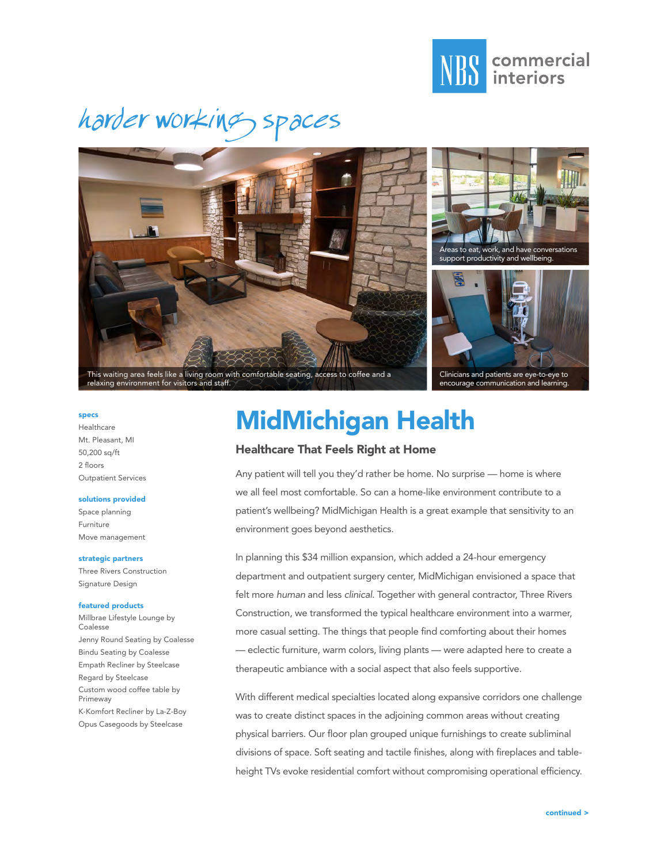

# harder working spaces







Clinicians and patients are eye-to-eye to encourage communication and learning.

#### specs

Healthcare Mt. Pleasant, MI 50,200 sq/ft 2 floors Outpatient Services

#### solutions provided

Space planning Furniture Move management

#### strategic partners

Three Rivers Construction Signature Design

#### featured products

Millbrae Lifestyle Lounge by Coalesse Jenny Round Seating by Coalesse Bindu Seating by Coalesse Empath Recliner by Steelcase Regard by Steelcase Custom wood coffee table by Primeway K-Komfort Recliner by La-Z-Boy Opus Casegoods by Steelcase

### MidMichigan Health

### Healthcare That Feels Right at Home

Any patient will tell you they'd rather be home. No surprise — home is where we all feel most comfortable. So can a home-like environment contribute to a patient's wellbeing? MidMichigan Health is a great example that sensitivity to an environment goes beyond aesthetics.

In planning this \$34 million expansion, which added a 24-hour emergency department and outpatient surgery center, MidMichigan envisioned a space that felt more *human* and less *clinical*. Together with general contractor, Three Rivers Construction, we transformed the typical healthcare environment into a warmer, more casual setting. The things that people find comforting about their homes — eclectic furniture, warm colors, living plants — were adapted here to create a therapeutic ambiance with a social aspect that also feels supportive.

With different medical specialties located along expansive corridors one challenge was to create distinct spaces in the adjoining common areas without creating physical barriers. Our floor plan grouped unique furnishings to create subliminal divisions of space. Soft seating and tactile finishes, along with fireplaces and tableheight TVs evoke residential comfort without compromising operational efficiency.